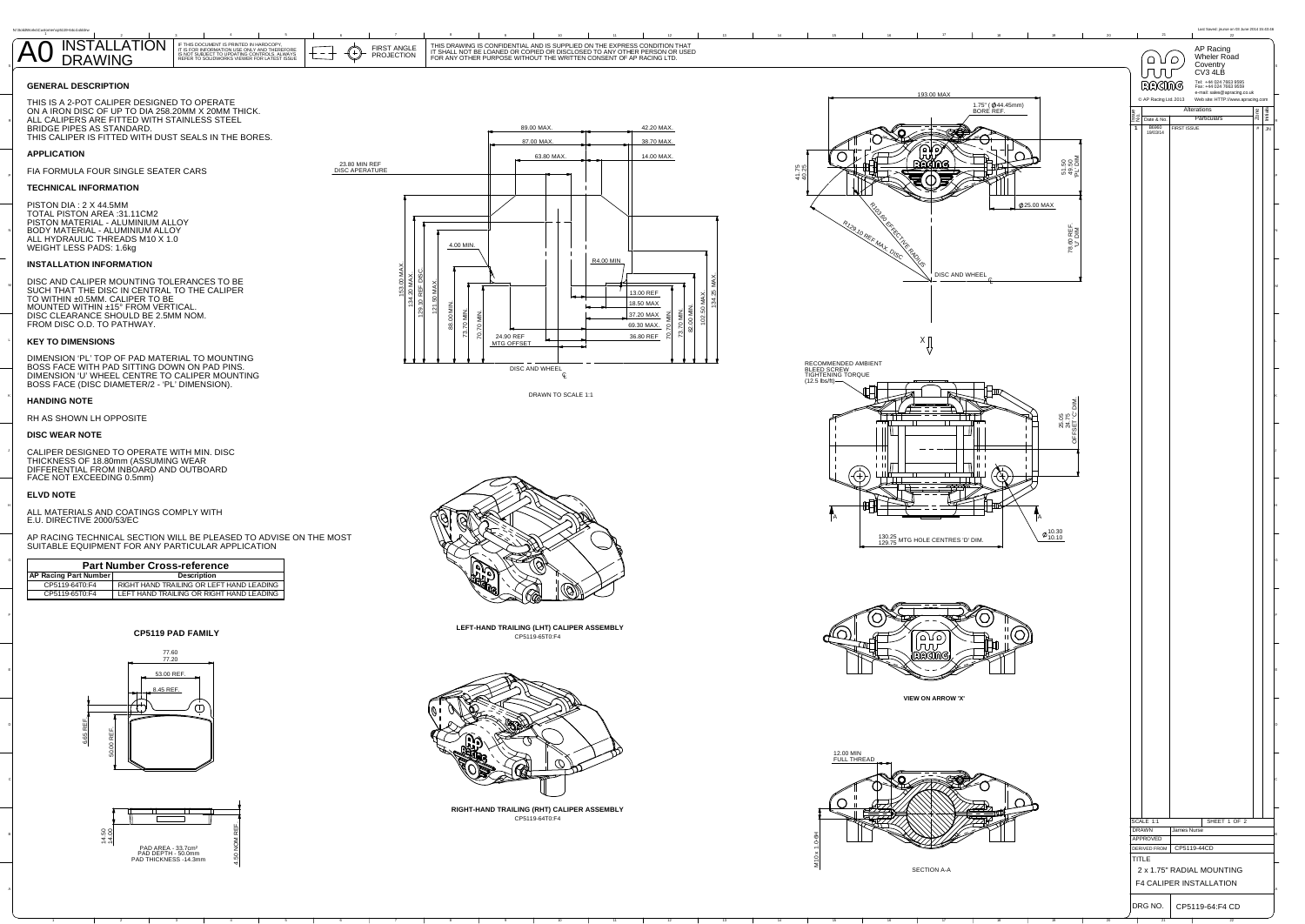

**CP5119 PAD FAMILY**

**RIGHT-HAND TRAILING (RHT) CALIPER ASSEMBLY**CP5119-64T0:F4





CP5119-65T0:F4**LEFT-HAND TRAILING (LHT) CALIPER ASSEMBLY**





 DISC AND CALIPER MOUNTING TOLERANCES TO BE SUCH THAT THE DISC IN CENTRAL TO THE CALIPER TO WITHIN ±0.5MM. CALIPER TO BE MOUNTED WITHIN ±15° FROM VERTICAL.DISC CLEARANCE SHOULD BE 2.5MM NOM.<br>FROM DISC O.D. TO PATHWAY.

CALIPER DESIGNED TO OPERATE WITH MIN. DISCTHICKNESS OF 18.80mm (ASSUMING WEAR<br>DIFFERENTIAL FROM INBOARD AND OUTBOARD<br>FACE NOT EXCEEDING 0.5mm)

DRAWN TO SCALE 1:1

THIS DRAWING IS CONFIDENTIAL AND IS SUPPLIED ON THE EXPRESS CONDITION THAT<br>IT SHALL NOT BE LOANED OR COPIED OR DISCLOSED TO ANY OTHER PERSON OR USED<br>FOR ANY OTHER PURPOSE WITHOUT THE WRITTEN CONSENT OF AP RACING LTD.

## **GENERAL DESCRIPTION**

 THIS IS A 2-POT CALIPER DESIGNED TO OPERATE ON A IRON DISC OF UP TO DIA 258.20MM X 20MM THICK. ALL CALIPERS ARE FITTED WITH STAINLESS STEEL BRIDGE PIPES AS STANDARD. THIS CALIPER IS FITTED WITH DUST SEALS IN THE BORES.

# **APPLICATION**

FIA FORMULA FOUR SINGLE SEATER CARS



# **TECHNICAL INFORMATION**

 PISTON DIA : 2 X 44.5MM TOTAL PISTON AREA :31.11CM2 PISTON MATERIAL - ALUMINIUM ALLOYBODY MATERIAL - ALUMINIUM ALLOY ALL HYDRAULIC THREADS M10 X 1.0 WEIGHT LESS PADS: 1.6kg

## **INSTALLATION INFORMATION**

## **KEY TO DIMENSIONS**

 DIMENSION 'PL' TOP OF PAD MATERIAL TO MOUNTING BOSS FACE WITH PAD SITTING DOWN ON PAD PINS. DIMENSION 'U' WHEEL CENTRE TO CALIPER MOUNTING BOSS FACE (DISC DIAMETER/2 - 'PL' DIMENSION).

## **HANDING NOTE**

RH AS SHOWN LH OPPOSITE

#### **DISC WEAR NOTE**

#### **ELVD NOTE**

ALL MATERIALS AND COATINGS COMPLY WITHE.U. DIRECTIVE 2000/53/EC

AP RACING TECHNICAL SECTION WILL BE PLEASED TO ADVISE ON THE MOST SUITABLE EQUIPMENT FOR ANY PARTICULAR APPLICATION

IF THIS DOCUMENT IS PRINTED IN HARDCOPY,<br>IT IS FOR INFORMATION USE ONLY AND THEREFORE<br>IS NOT SUBJECT TO UPDATING CONTROLS. ALWAYS<br>REFER TO SOLIDWORKS VIEWER FOR LATEST ISSUE AO INSTALLA





<sup>2</sup>

P

K

FIRST ANGLE PROJECTION

- 7

 $\bigoplus$ 

#### **AP Racing Part Number Description Part Number Cross-reference**

| A Kaving Larenamber | <b>DUSUINGUI</b>                         |  |  |
|---------------------|------------------------------------------|--|--|
| CP5119-64T0:F4      | RIGHT HAND TRAILING OR LEFT HAND LEADING |  |  |
| CP5119-65T0:F4      | LEFT HAND TRAILING OR RIGHT HAND LEADING |  |  |
|                     |                                          |  |  |